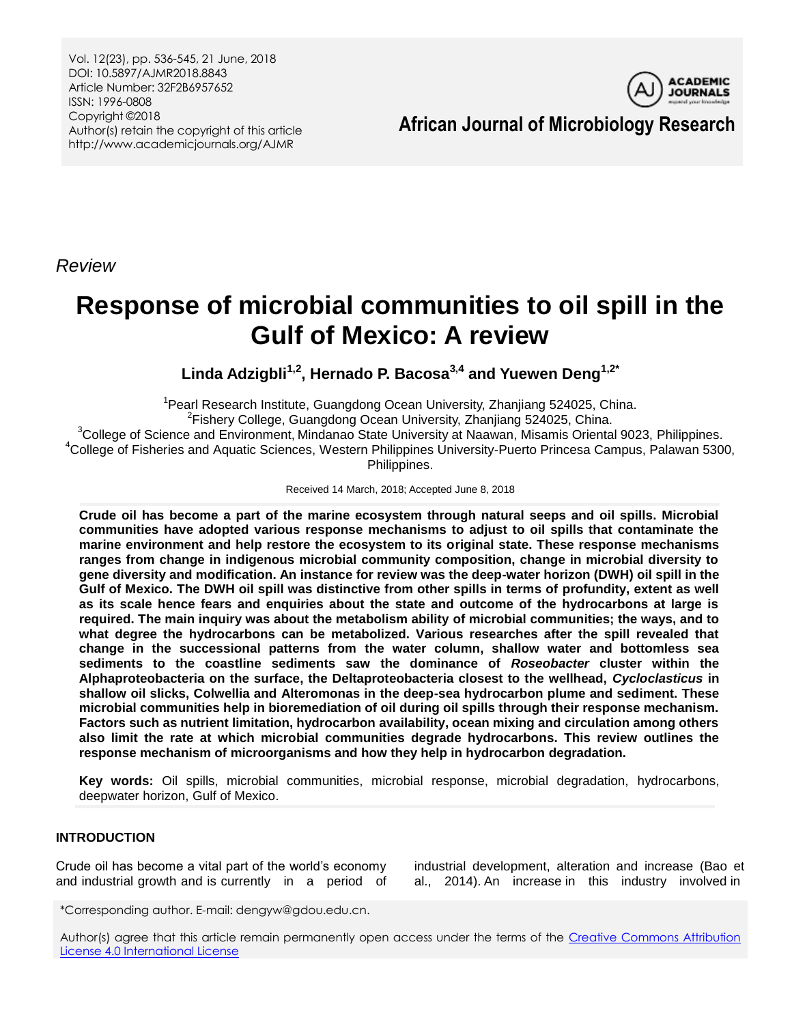Vol. 12(23), pp. 536-545, 21 June, 2018 DOI: 10.5897/AJMR2018.8843 Article Number: 32F2B6957652 ISSN: 1996-0808 Copyright ©2018 Author(s) retain the copyright of this article http://www.academicjournals.org/AJMR



**African Journal of Microbiology Research**

*Review*

# **Response of microbial communities to oil spill in the Gulf of Mexico: A review**

**Linda Adzigbli1,2, Hernado P. Bacosa3,4 and Yuewen Deng1,2\***

<sup>1</sup> Pearl Research Institute, Guangdong Ocean University, Zhanjiang 524025, China. <sup>2</sup> Fishery College, Guangdong Ocean University, Zhanjiang 524025, China.

<sup>3</sup>College of Science and Environment, Mindanao State University at Naawan, Misamis Oriental 9023, Philippines. <sup>4</sup>College of Fisheries and Aquatic Sciences, Western Philippines University-Puerto Princesa Campus, Palawan 5300,

Philippines.

Received 14 March, 2018; Accepted June 8, 2018

**Crude oil has become a part of the marine ecosystem through natural seeps and oil spills. Microbial communities have adopted various response mechanisms to adjust to oil spills that contaminate the marine environment and help restore the ecosystem to its original state. These response mechanisms ranges from change in indigenous microbial community composition, change in microbial diversity to gene diversity and modification. An instance for review was the deep-water horizon (DWH) oil spill in the Gulf of Mexico. The DWH oil spill was distinctive from other spills in terms of profundity, extent as well as its scale hence fears and enquiries about the state and outcome of the hydrocarbons at large is required. The main inquiry was about the metabolism ability of microbial communities; the ways, and to what degree the hydrocarbons can be metabolized. Various researches after the spill revealed that change in the successional patterns from the water column, shallow water and bottomless sea sediments to the coastline sediments saw the dominance of** *Roseobacter* **cluster within the Alphaproteobacteria on the surface, the Deltaproteobacteria closest to the wellhead,** *Cycloclasticus* **in shallow oil slicks, Colwellia and Alteromonas in the deep-sea hydrocarbon plume and sediment. These microbial communities help in bioremediation of oil during oil spills through their response mechanism. Factors such as nutrient limitation, hydrocarbon availability, ocean mixing and circulation among others also limit the rate at which microbial communities degrade hydrocarbons. This review outlines the response mechanism of microorganisms and how they help in hydrocarbon degradation.**

**Key words:** Oil spills, microbial communities, microbial response, microbial degradation, hydrocarbons, deepwater horizon, Gulf of Mexico.

### **INTRODUCTION**

Crude oil has become a vital part of the world's economy and industrial growth and is currently in a period of industrial development, alteration and increase (Bao et al., 2014). An increase in this industry involved in

Author(s) agree that this article remain permanently open access under the terms of the Creative Commons Attribution [License 4.0 International License](http://creativecommons.org/licenses/by/4.0/deed.en_US)

<sup>\*</sup>Corresponding author. E-mail: dengyw@gdou.edu.cn.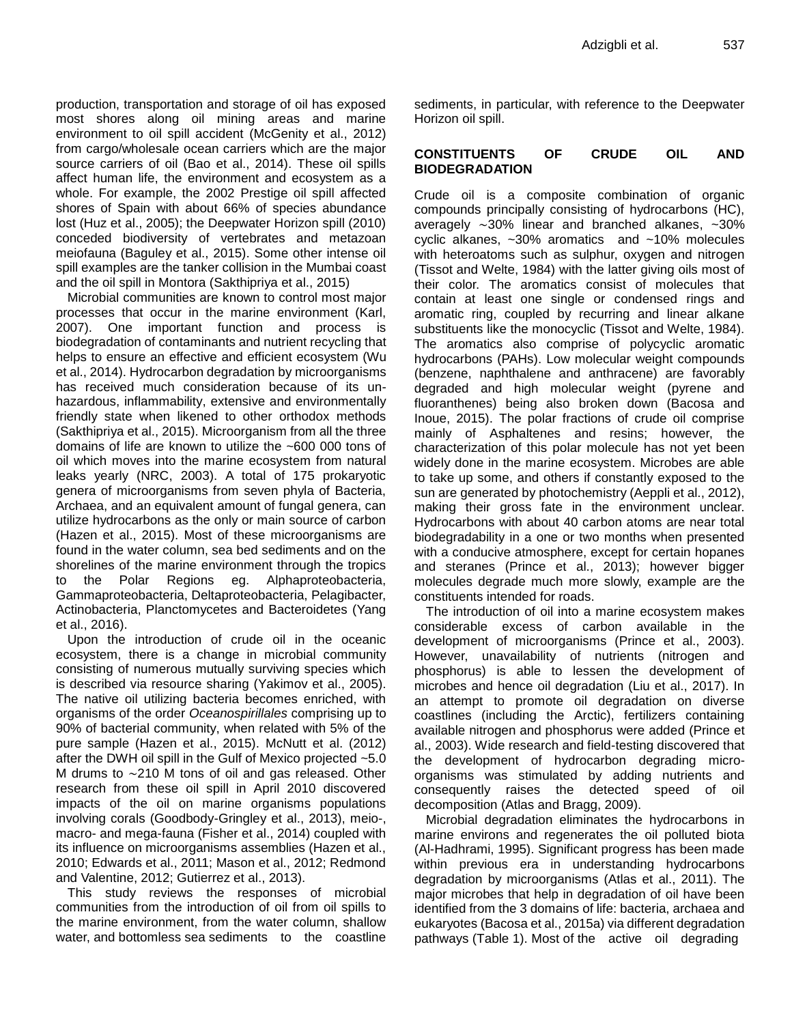production, transportation and storage of oil has exposed most shores along oil mining areas and marine environment to oil spill accident (McGenity et al., 2012) from cargo/wholesale ocean carriers which are the major source carriers of oil (Bao et al., 2014). These oil spills affect human life, the environment and ecosystem as a whole. For example, the 2002 Prestige oil spill affected shores of Spain with about 66% of species abundance lost (Huz et al., 2005); the Deepwater Horizon spill (2010) conceded biodiversity of vertebrates and metazoan meiofauna (Baguley et al., 2015). Some other intense oil spill examples are the tanker collision in the Mumbai coast and the oil spill in Montora (Sakthipriya et al., 2015)

Microbial communities are known to control most major processes that occur in the marine environment (Karl, 2007). One important function and process is biodegradation of contaminants and nutrient recycling that helps to ensure an effective and efficient ecosystem (Wu et al., 2014). Hydrocarbon degradation by microorganisms has received much consideration because of its unhazardous, inflammability, extensive and environmentally friendly state when likened to other orthodox methods (Sakthipriya et al., 2015). Microorganism from all the three domains of life are known to utilize the ~600 000 tons of oil which moves into the marine ecosystem from natural leaks yearly (NRC, 2003). A total of 175 prokaryotic genera of microorganisms from seven phyla of Bacteria, Archaea, and an equivalent amount of fungal genera, can utilize hydrocarbons as the only or main source of carbon (Hazen et al., 2015). Most of these microorganisms are found in the water column, sea bed sediments and on the shorelines of the marine environment through the tropics to the Polar Regions eg. Alphaproteobacteria, Gammaproteobacteria, Deltaproteobacteria, Pelagibacter, Actinobacteria, Planctomycetes and Bacteroidetes (Yang et al., 2016).

Upon the introduction of crude oil in the oceanic ecosystem, there is a change in microbial community consisting of numerous mutually surviving species which is described via resource sharing (Yakimov et al., 2005). The native oil utilizing bacteria becomes enriched, with organisms of the order *Oceanospirillales* comprising up to 90% of bacterial community, when related with 5% of the pure sample (Hazen et al., 2015). McNutt et al. (2012) after the DWH oil spill in the Gulf of Mexico projected ~5.0 M drums to ∼210 M tons of oil and gas released. Other research from these oil spill in April 2010 discovered impacts of the oil on marine organisms populations involving corals (Goodbody-Gringley et al., 2013), meio-, macro- and mega-fauna (Fisher et al., 2014) coupled with its influence on microorganisms assemblies (Hazen et al., 2010; Edwards et al., 2011; Mason et al., 2012; Redmond and Valentine, 2012; Gutierrez et al., 2013).

This study reviews the responses of microbial communities from the introduction of oil from oil spills to the marine environment, from the water column, shallow water, and bottomless sea sediments to the coastline sediments, in particular, with reference to the Deepwater Horizon oil spill.

#### **CONSTITUENTS OF CRUDE OIL AND BIODEGRADATION**

Crude oil is a composite combination of organic compounds principally consisting of hydrocarbons (HC), averagely ∼30% linear and branched alkanes, ~30% cyclic alkanes, ~30% aromatics and ~10% molecules with heteroatoms such as sulphur, oxygen and nitrogen (Tissot and Welte, 1984) with the latter giving oils most of their color. The aromatics consist of molecules that contain at least one single or condensed rings and aromatic ring, coupled by recurring and linear alkane substituents like the monocyclic (Tissot and Welte, 1984). The aromatics also comprise of polycyclic aromatic hydrocarbons (PAHs). Low molecular weight compounds (benzene, naphthalene and anthracene) are favorably degraded and high molecular weight (pyrene and fluoranthenes) being also broken down (Bacosa and Inoue, 2015). The polar fractions of crude oil comprise mainly of Asphaltenes and resins; however, the characterization of this polar molecule has not yet been widely done in the marine ecosystem. Microbes are able to take up some, and others if constantly exposed to the sun are generated by photochemistry (Aeppli et al., 2012), making their gross fate in the environment unclear. Hydrocarbons with about 40 carbon atoms are near total biodegradability in a one or two months when presented with a conducive atmosphere, except for certain hopanes and steranes (Prince et al., 2013); however bigger molecules degrade much more slowly, example are the constituents intended for roads.

The introduction of oil into a marine ecosystem makes considerable excess of carbon available in the development of microorganisms (Prince et al., 2003). However, unavailability of nutrients (nitrogen and phosphorus) is able to lessen the development of microbes and hence oil degradation (Liu et al., 2017). In an attempt to promote oil degradation on diverse coastlines (including the Arctic), fertilizers containing available nitrogen and phosphorus were added (Prince et al., 2003). Wide research and field-testing discovered that the development of hydrocarbon degrading microorganisms was stimulated by adding nutrients and consequently raises the detected speed of oil decomposition (Atlas and Bragg, 2009).

Microbial degradation eliminates the hydrocarbons in marine environs and regenerates the oil polluted biota (Al-Hadhrami, 1995). Significant progress has been made within previous era in understanding hydrocarbons degradation by microorganisms (Atlas et al., 2011). The major microbes that help in degradation of oil have been identified from the 3 domains of life: bacteria, archaea and eukaryotes (Bacosa et al., 2015a) via different degradation pathways (Table 1). Most of the active oil degrading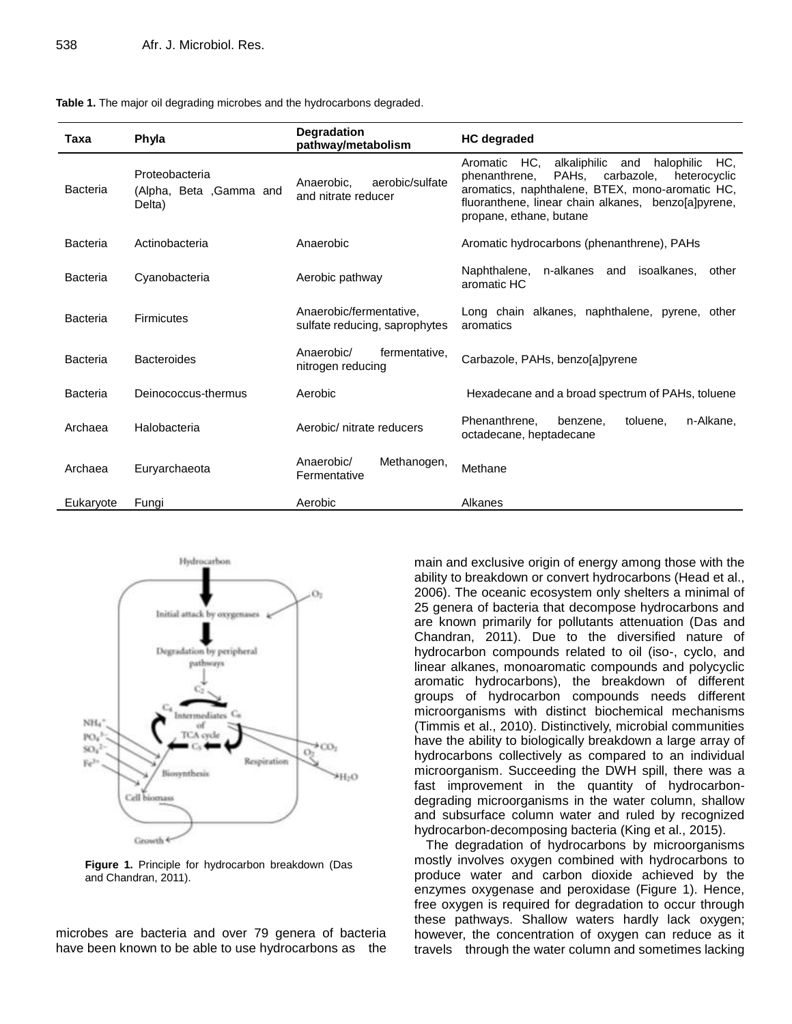| Taxa            | Phyla                                               | <b>Degradation</b><br>pathway/metabolism                 | <b>HC</b> degraded                                                                                                                                                                                                                                    |
|-----------------|-----------------------------------------------------|----------------------------------------------------------|-------------------------------------------------------------------------------------------------------------------------------------------------------------------------------------------------------------------------------------------------------|
| <b>Bacteria</b> | Proteobacteria<br>(Alpha, Beta, Gamma and<br>Delta) | aerobic/sulfate<br>Anaerobic.<br>and nitrate reducer     | Aromatic HC,<br>alkaliphilic<br>and<br>halophilic<br>HC.<br>PAHs.<br>carbazole,<br>phenanthrene.<br>heterocyclic<br>aromatics, naphthalene, BTEX, mono-aromatic HC,<br>fluoranthene, linear chain alkanes, benzo[a]pyrene,<br>propane, ethane, butane |
| <b>Bacteria</b> | Actinobacteria                                      | Anaerobic                                                | Aromatic hydrocarbons (phenanthrene), PAHs                                                                                                                                                                                                            |
| <b>Bacteria</b> | Cyanobacteria                                       | Aerobic pathway                                          | n-alkanes and<br>isoalkanes,<br>Naphthalene,<br>other<br>aromatic HC                                                                                                                                                                                  |
| <b>Bacteria</b> | <b>Firmicutes</b>                                   | Anaerobic/fermentative.<br>sulfate reducing, saprophytes | Long chain alkanes, naphthalene, pyrene, other<br>aromatics                                                                                                                                                                                           |
| <b>Bacteria</b> | <b>Bacteroides</b>                                  | Anaerobic/<br>fermentative.<br>nitrogen reducing         | Carbazole, PAHs, benzo[a]pyrene                                                                                                                                                                                                                       |
| <b>Bacteria</b> | Deinococcus-thermus                                 | Aerobic                                                  | Hexadecane and a broad spectrum of PAHs, toluene                                                                                                                                                                                                      |
| Archaea         | Halobacteria                                        | Aerobic/ nitrate reducers                                | Phenanthrene.<br>n-Alkane,<br>benzene.<br>toluene.<br>octadecane, heptadecane                                                                                                                                                                         |
| Archaea         | Euryarchaeota                                       | Anaerobic/<br>Methanogen,<br>Fermentative                | Methane                                                                                                                                                                                                                                               |
| Eukaryote       | Fungi                                               | Aerobic                                                  | Alkanes                                                                                                                                                                                                                                               |

**Table 1.** The major oil degrading microbes and the hydrocarbons degraded.



**Figure 1.** Principle for hydrocarbon breakdown (Das and Chandran, 2011).

microbes are bacteria and over 79 genera of bacteria have been known to be able to use hydrocarbons as the

main and exclusive origin of energy among those with the ability to breakdown or convert hydrocarbons (Head et al., 2006). The oceanic ecosystem only shelters a minimal of 25 genera of bacteria that decompose hydrocarbons and are known primarily for pollutants attenuation (Das and Chandran, 2011). Due to the diversified nature of hydrocarbon compounds related to oil (iso-, cyclo, and linear alkanes, monoaromatic compounds and polycyclic aromatic hydrocarbons), the breakdown of different groups of hydrocarbon compounds needs different microorganisms with distinct biochemical mechanisms (Timmis et al., 2010). Distinctively, microbial communities have the ability to biologically breakdown a large array of hydrocarbons collectively as compared to an individual microorganism. Succeeding the DWH spill, there was a fast improvement in the quantity of hydrocarbondegrading microorganisms in the water column, shallow and subsurface column water and ruled by recognized hydrocarbon-decomposing bacteria (King et al., 2015).

The degradation of hydrocarbons by microorganisms mostly involves oxygen combined with hydrocarbons to produce water and carbon dioxide achieved by the enzymes oxygenase and peroxidase (Figure 1). Hence, free oxygen is required for degradation to occur through these pathways. Shallow waters hardly lack oxygen; however, the concentration of oxygen can reduce as it travels through the water column and sometimes lacking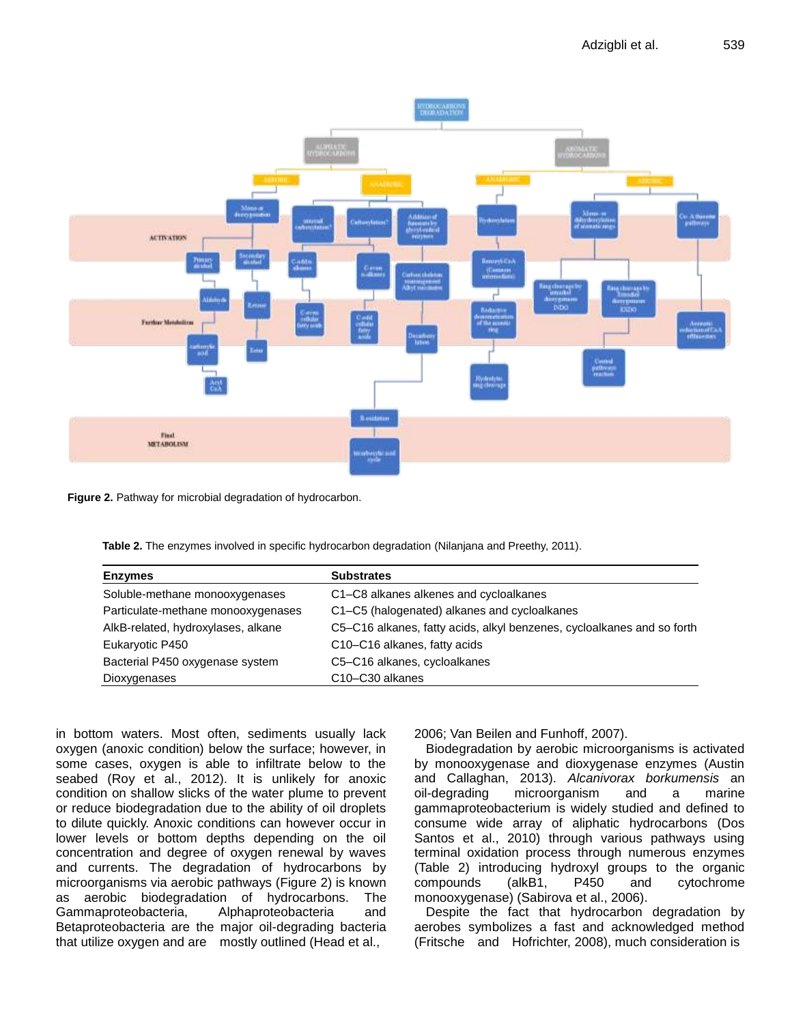

**Figure 2.** Pathway for microbial degradation of hydrocarbon.

| <b>Enzymes</b>                     | <b>Substrates</b>                                                      |  |
|------------------------------------|------------------------------------------------------------------------|--|
| Soluble-methane monooxygenases     | C1-C8 alkanes alkenes and cycloalkanes                                 |  |
| Particulate-methane monooxygenases | C1-C5 (halogenated) alkanes and cycloalkanes                           |  |
| AlkB-related, hydroxylases, alkane | C5-C16 alkanes, fatty acids, alkyl benzenes, cycloalkanes and so forth |  |
| Eukaryotic P450                    | C <sub>10</sub> -C <sub>16</sub> alkanes, fatty acids                  |  |
| Bacterial P450 oxygenase system    | C5-C16 alkanes, cycloalkanes                                           |  |
| Dioxygenases                       | C <sub>10</sub> -C <sub>30</sub> alkanes                               |  |

in bottom waters. Most often, sediments usually lack oxygen (anoxic condition) below the surface; however, in some cases, oxygen is able to infiltrate below to the seabed (Roy et al., 2012). It is unlikely for anoxic condition on shallow slicks of the water plume to prevent or reduce biodegradation due to the ability of oil droplets to dilute quickly. Anoxic conditions can however occur in lower levels or bottom depths depending on the oil concentration and degree of oxygen renewal by waves and currents. The degradation of hydrocarbons by microorganisms via aerobic pathways (Figure 2) is known as aerobic biodegradation of hydrocarbons. The Gammaproteobacteria, Alphaproteobacteria and Betaproteobacteria are the major oil-degrading bacteria that utilize oxygen and are mostly outlined (Head et al.,

2006; Van Beilen and Funhoff, 2007).

Biodegradation by aerobic microorganisms is activated by monooxygenase and dioxygenase enzymes (Austin and Callaghan, 2013). *Alcanivorax borkumensis* an oil-degrading microorganism and a marine gammaproteobacterium is widely studied and defined to consume wide array of aliphatic hydrocarbons (Dos Santos et al., 2010) through various pathways using terminal oxidation process through numerous enzymes (Table 2) introducing hydroxyl groups to the organic compounds (alkB1, P450 and cytochrome monooxygenase) (Sabirova et al., 2006).

Despite the fact that hydrocarbon degradation by aerobes symbolizes a fast and acknowledged method (Fritsche and Hofrichter, 2008), much consideration is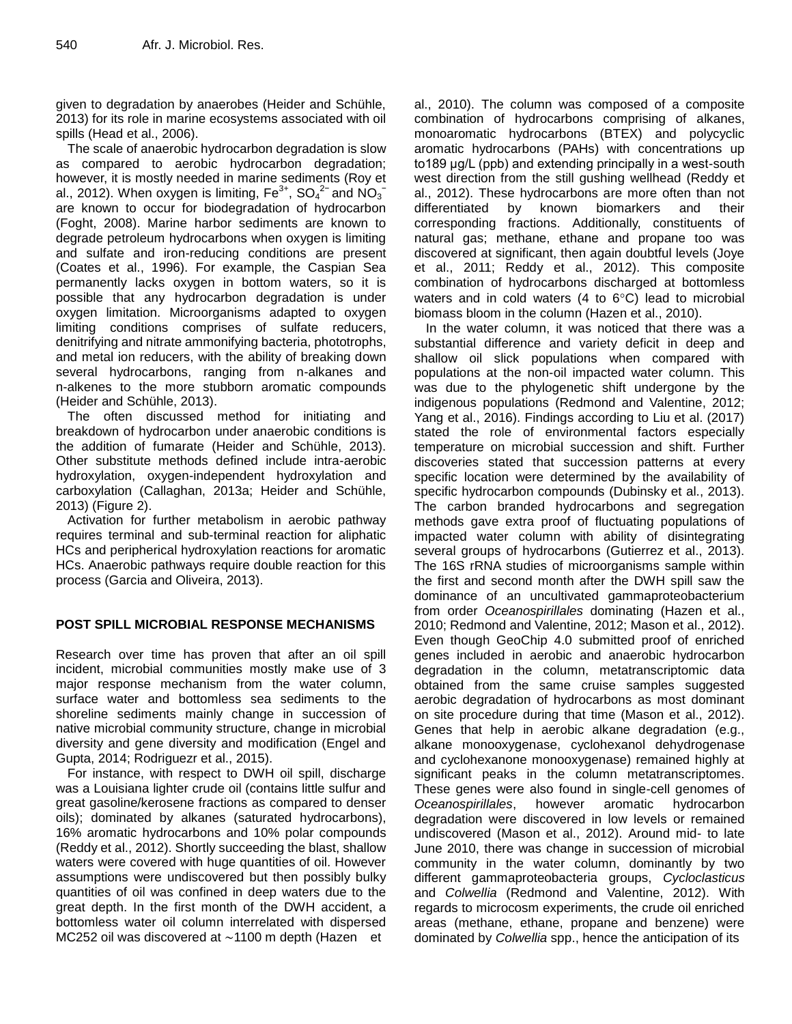given to degradation by anaerobes (Heider and Schühle, 2013) for its role in marine ecosystems associated with oil spills (Head et al., 2006).

The scale of anaerobic hydrocarbon degradation is slow as compared to aerobic hydrocarbon degradation; however, it is mostly needed in marine sediments (Roy et al., 2012). When oxygen is limiting, Fe<sup>3+</sup>, SO<sub>4</sub><sup>2-</sup> and NO<sub>3</sub><sup>-</sup> are known to occur for biodegradation of hydrocarbon (Foght, 2008). Marine harbor sediments are known to degrade petroleum hydrocarbons when oxygen is limiting and sulfate and iron-reducing conditions are present (Coates et al., 1996). For example, the Caspian Sea permanently lacks oxygen in bottom waters, so it is possible that any hydrocarbon degradation is under oxygen limitation. Microorganisms adapted to oxygen limiting conditions comprises of sulfate reducers, denitrifying and nitrate ammonifying bacteria, phototrophs, and metal ion reducers, with the ability of breaking down several hydrocarbons, ranging from n-alkanes and n-alkenes to the more stubborn aromatic compounds (Heider and Schühle, 2013).

The often discussed method for initiating and breakdown of hydrocarbon under anaerobic conditions is the addition of fumarate (Heider and Schühle, 2013). Other substitute methods defined include intra-aerobic hydroxylation, oxygen-independent hydroxylation and carboxylation (Callaghan, 2013a; Heider and Schühle, 2013) (Figure 2).

Activation for further metabolism in aerobic pathway requires terminal and sub-terminal reaction for aliphatic HCs and peripherical hydroxylation reactions for aromatic HCs. Anaerobic pathways require double reaction for this process (Garcia and Oliveira, 2013).

## **POST SPILL MICROBIAL RESPONSE MECHANISMS**

Research over time has proven that after an oil spill incident, microbial communities mostly make use of 3 major response mechanism from the water column, surface water and bottomless sea sediments to the shoreline sediments mainly change in succession of native microbial community structure, change in microbial diversity and gene diversity and modification (Engel and Gupta, 2014; Rodriguezr et al., 2015).

For instance, with respect to DWH oil spill, discharge was a Louisiana lighter crude oil (contains little sulfur and great gasoline/kerosene fractions as compared to denser oils); dominated by alkanes (saturated hydrocarbons), 16% aromatic hydrocarbons and 10% polar compounds (Reddy et al., 2012). Shortly succeeding the blast, shallow waters were covered with huge quantities of oil. However assumptions were undiscovered but then possibly bulky quantities of oil was confined in deep waters due to the great depth. In the first month of the DWH accident, a bottomless water oil column interrelated with dispersed MC252 oil was discovered at ∼1100 m depth (Hazen et

al., 2010). The column was composed of a composite combination of hydrocarbons comprising of alkanes, monoaromatic hydrocarbons (BTEX) and polycyclic aromatic hydrocarbons (PAHs) with concentrations up to189 μg/L (ppb) and extending principally in a west-south west direction from the still gushing wellhead (Reddy et al., 2012). These hydrocarbons are more often than not differentiated by known biomarkers and their corresponding fractions. Additionally, constituents of natural gas; methane, ethane and propane too was discovered at significant, then again doubtful levels (Joye et al., 2011; Reddy et al., 2012). This composite combination of hydrocarbons discharged at bottomless waters and in cold waters (4 to  $6^{\circ}$ C) lead to microbial biomass bloom in the column (Hazen et al., 2010).

In the water column, it was noticed that there was a substantial difference and variety deficit in deep and shallow oil slick populations when compared with populations at the non-oil impacted water column. This was due to the phylogenetic shift undergone by the indigenous populations (Redmond and Valentine, 2012; Yang et al., 2016). Findings according to Liu et al. (2017) stated the role of environmental factors especially temperature on microbial succession and shift. Further discoveries stated that succession patterns at every specific location were determined by the availability of specific hydrocarbon compounds (Dubinsky et al., 2013). The carbon branded hydrocarbons and segregation methods gave extra proof of fluctuating populations of impacted water column with ability of disintegrating several groups of hydrocarbons (Gutierrez et al., 2013). The 16S rRNA studies of microorganisms sample within the first and second month after the DWH spill saw the dominance of an uncultivated gammaproteobacterium from order *Oceanospirillales* dominating (Hazen et al., 2010; Redmond and Valentine, 2012; Mason et al., 2012). Even though GeoChip 4.0 submitted proof of enriched genes included in aerobic and anaerobic hydrocarbon degradation in the column, metatranscriptomic data obtained from the same cruise samples suggested aerobic degradation of hydrocarbons as most dominant on site procedure during that time (Mason et al., 2012). Genes that help in aerobic alkane degradation (e.g., alkane monooxygenase, cyclohexanol dehydrogenase and cyclohexanone monooxygenase) remained highly at significant peaks in the column metatranscriptomes. These genes were also found in single-cell genomes of *Oceanospirillales*, however aromatic hydrocarbon degradation were discovered in low levels or remained undiscovered (Mason et al., 2012). Around mid- to late June 2010, there was change in succession of microbial community in the water column, dominantly by two different gammaproteobacteria groups, *Cycloclasticus* and *Colwellia* (Redmond and Valentine, 2012). With regards to microcosm experiments, the crude oil enriched areas (methane, ethane, propane and benzene) were dominated by *Colwellia* spp., hence the anticipation of its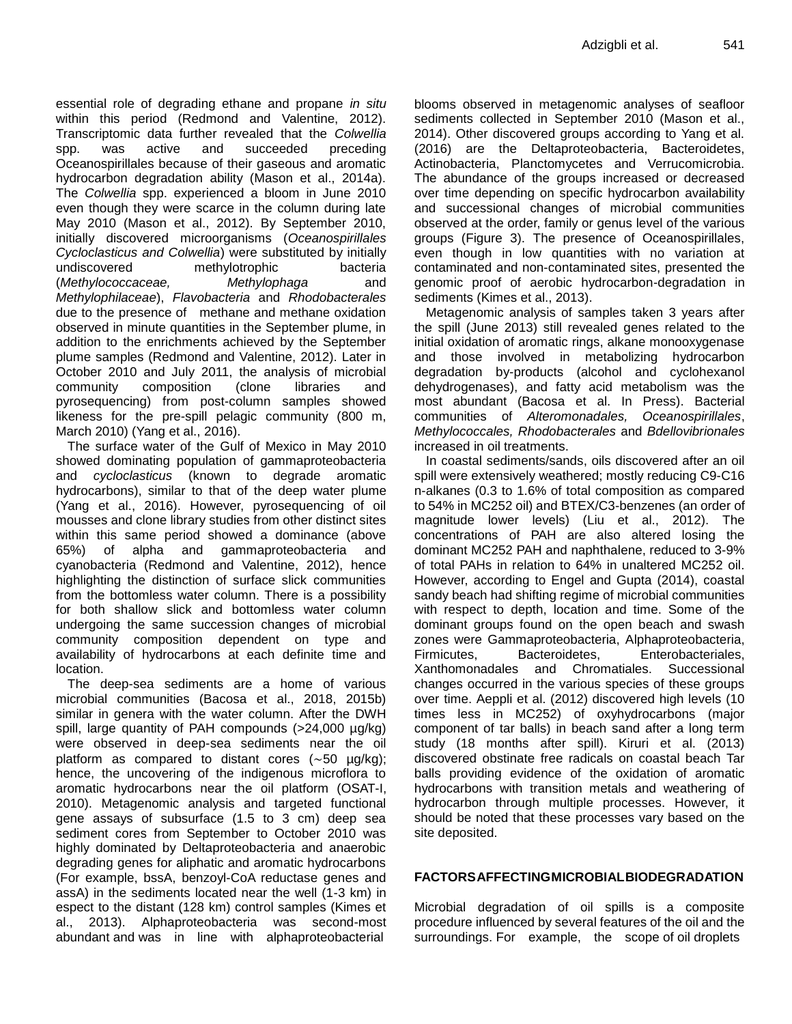essential role of degrading ethane and propane *in situ* within this period (Redmond and Valentine, 2012). Transcriptomic data further revealed that the *Colwellia*  spp. was active and succeeded preceding Oceanospirillales because of their gaseous and aromatic hydrocarbon degradation ability (Mason et al., 2014a). The *Colwellia* spp. experienced a bloom in June 2010 even though they were scarce in the column during late May 2010 (Mason et al., 2012). By September 2010, initially discovered microorganisms (*Oceanospirillales Cycloclasticus and Colwellia*) were substituted by initially undiscovered methylotrophic bacteria (*Methylococcaceae, Methylophaga* and *Methylophilaceae*), *Flavobacteria* and *Rhodobacterales* due to the presence of methane and methane oxidation observed in minute quantities in the September plume, in addition to the enrichments achieved by the September plume samples (Redmond and Valentine, 2012). Later in October 2010 and July 2011, the analysis of microbial community composition (clone libraries and pyrosequencing) from post-column samples showed likeness for the pre-spill pelagic community (800 m, March 2010) (Yang et al., 2016).

The surface water of the Gulf of Mexico in May 2010 showed dominating population of gammaproteobacteria and *cycloclasticus* (known to degrade aromatic hydrocarbons), similar to that of the deep water plume (Yang et al., 2016). However, pyrosequencing of oil mousses and clone library studies from other distinct sites within this same period showed a dominance (above 65%) of alpha and gammaproteobacteria and cyanobacteria (Redmond and Valentine, 2012), hence highlighting the distinction of surface slick communities from the bottomless water column. There is a possibility for both shallow slick and bottomless water column undergoing the same succession changes of microbial community composition dependent on type and availability of hydrocarbons at each definite time and location.

The deep-sea sediments are a home of various microbial communities (Bacosa et al., 2018, 2015b) similar in genera with the water column. After the DWH spill, large quantity of PAH compounds (>24,000 µg/kg) were observed in deep-sea sediments near the oil platform as compared to distant cores (∼50 µg/kg); hence, the uncovering of the indigenous microflora to aromatic hydrocarbons near the oil platform (OSAT-I, 2010). Metagenomic analysis and targeted functional gene assays of subsurface (1.5 to 3 cm) deep sea sediment cores from September to October 2010 was highly dominated by Deltaproteobacteria and anaerobic degrading genes for aliphatic and aromatic hydrocarbons (For example, bssA, benzoyl-CoA reductase genes and assA) in the sediments located near the well (1-3 km) in espect to the distant (128 km) control samples (Kimes et al., 2013). Alphaproteobacteria was second-most abundant and was in line with alphaproteobacterial

blooms observed in metagenomic analyses of seafloor sediments collected in September 2010 (Mason et al., 2014). Other discovered groups according to Yang et al. (2016) are the Deltaproteobacteria, Bacteroidetes, Actinobacteria, Planctomycetes and Verrucomicrobia. The abundance of the groups increased or decreased over time depending on specific hydrocarbon availability and successional changes of microbial communities observed at the order, family or genus level of the various groups (Figure 3). The presence of Oceanospirillales, even though in low quantities with no variation at contaminated and non-contaminated sites, presented the genomic proof of aerobic hydrocarbon-degradation in sediments (Kimes et al., 2013).

Metagenomic analysis of samples taken 3 years after the spill (June 2013) still revealed genes related to the initial oxidation of aromatic rings, alkane monooxygenase and those involved in metabolizing hydrocarbon degradation by-products (alcohol and cyclohexanol dehydrogenases), and fatty acid metabolism was the most abundant (Bacosa et al. In Press). Bacterial communities of *Alteromonadales, Oceanospirillales*, *Methylococcales, Rhodobacterales* and *Bdellovibrionales* increased in oil treatments.

In coastal sediments/sands, oils discovered after an oil spill were extensively weathered; mostly reducing C9-C16 n-alkanes (0.3 to 1.6% of total composition as compared to 54% in MC252 oil) and BTEX/C3-benzenes (an order of magnitude lower levels) (Liu et al., 2012). The concentrations of PAH are also altered losing the dominant MC252 PAH and naphthalene, reduced to 3-9% of total PAHs in relation to 64% in unaltered MC252 oil. However, according to Engel and Gupta (2014), coastal sandy beach had shifting regime of microbial communities with respect to depth, location and time. Some of the dominant groups found on the open beach and swash zones were Gammaproteobacteria, Alphaproteobacteria, Firmicutes, Bacteroidetes, Enterobacteriales, Xanthomonadales and Chromatiales. Successional changes occurred in the various species of these groups over time. Aeppli et al. (2012) discovered high levels (10 times less in MC252) of oxyhydrocarbons (major component of tar balls) in beach sand after a long term study (18 months after spill). Kiruri et al. (2013) discovered obstinate free radicals on coastal beach Tar balls providing evidence of the oxidation of aromatic hydrocarbons with transition metals and weathering of hydrocarbon through multiple processes. However, it should be noted that these processes vary based on the site deposited.

### **FACTORSAFFECTINGMICROBIALBIODEGRADATION**

Microbial degradation of oil spills is a composite procedure influenced by several features of the oil and the surroundings. For example, the scope of oil droplets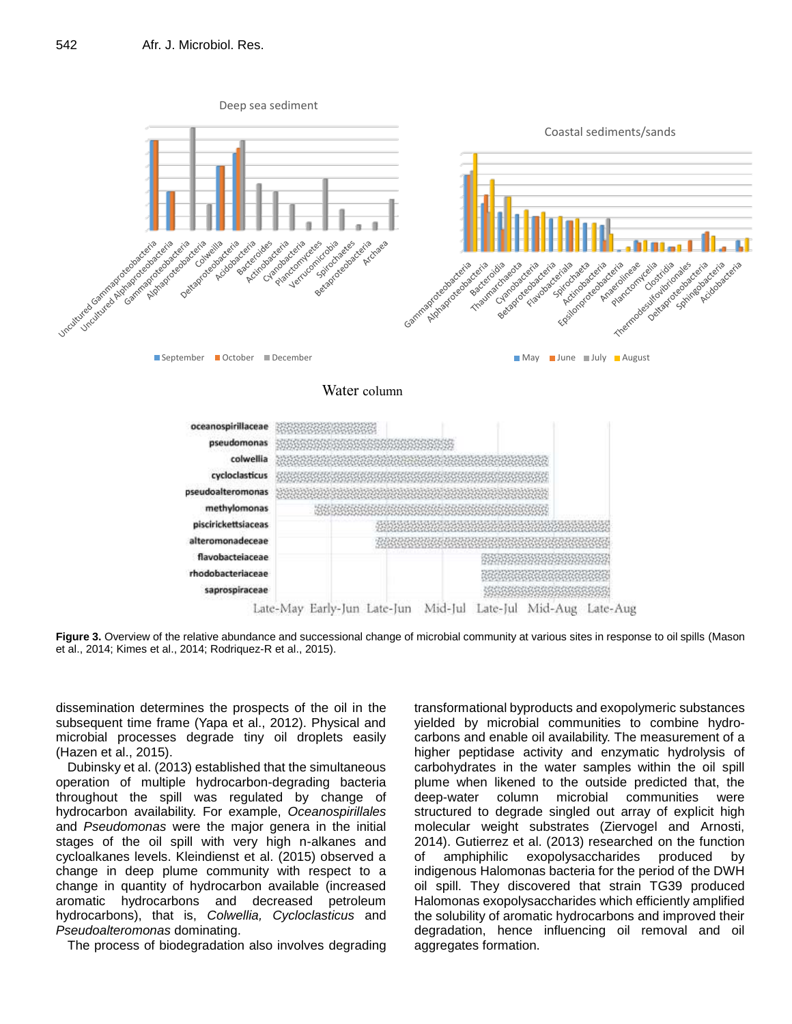

**Figure 3.** Overview of the relative abundance and successional change of microbial community at various sites in response to oil spills (Mason et al., 2014; Kimes et al., 2014; Rodriquez-R et al., 2015).

dissemination determines the prospects of the oil in the subsequent time frame (Yapa et al., 2012). Physical and microbial processes degrade tiny oil droplets easily (Hazen et al., 2015).

Dubinsky et al. (2013) established that the simultaneous operation of multiple hydrocarbon-degrading bacteria throughout the spill was regulated by change of hydrocarbon availability. For example, *Oceanospirillales*  and *Pseudomonas* were the major genera in the initial stages of the oil spill with very high n-alkanes and cycloalkanes levels. Kleindienst et al. (2015) observed a change in deep plume community with respect to a change in quantity of hydrocarbon available (increased aromatic hydrocarbons and decreased petroleum hydrocarbons), that is, *Colwellia, Cycloclasticus* and *Pseudoalteromonas* dominating.

The process of biodegradation also involves degrading

transformational byproducts and exopolymeric substances yielded by microbial communities to combine hydrocarbons and enable oil availability. The measurement of a higher peptidase activity and enzymatic hydrolysis of carbohydrates in the water samples within the oil spill plume when likened to the outside predicted that, the deep-water column microbial communities were structured to degrade singled out array of explicit high molecular weight substrates (Ziervogel and Arnosti, 2014). Gutierrez et al. (2013) researched on the function of amphiphilic exopolysaccharides produced by indigenous Halomonas bacteria for the period of the DWH oil spill. They discovered that strain TG39 produced Halomonas exopolysaccharides which efficiently amplified the solubility of aromatic hydrocarbons and improved their degradation, hence influencing oil removal and oil aggregates formation.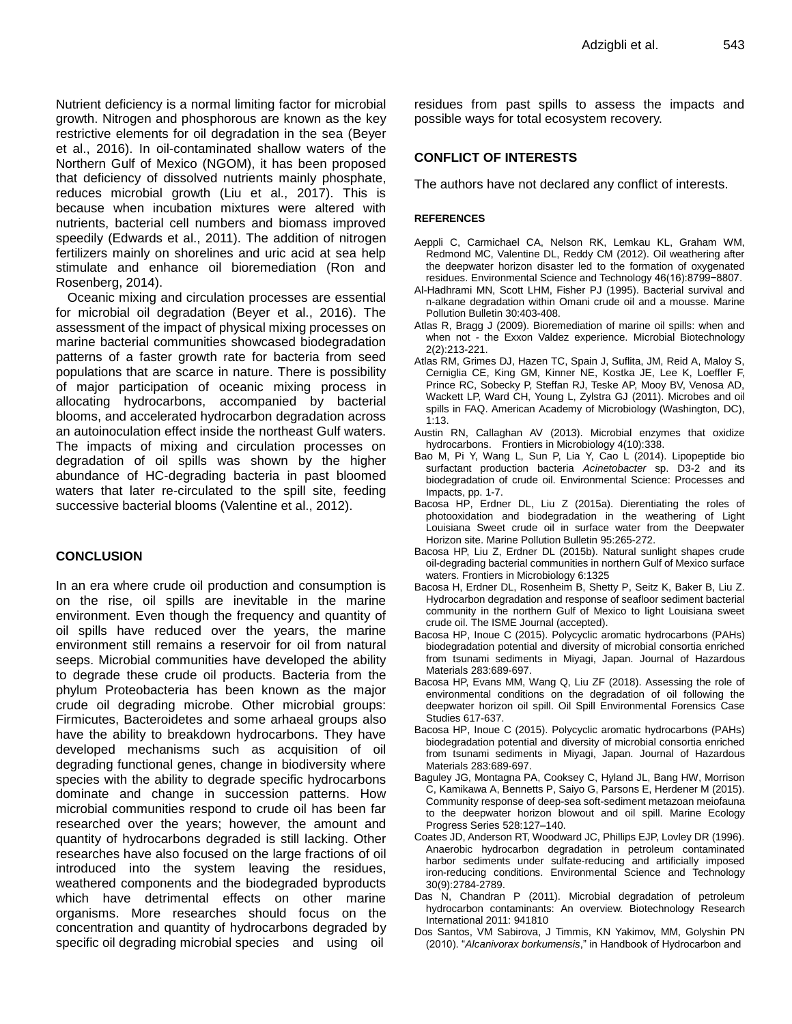Nutrient deficiency is a normal limiting factor for microbial growth. Nitrogen and phosphorous are known as the key restrictive elements for oil degradation in the sea (Beyer et al., 2016). In oil-contaminated shallow waters of the Northern Gulf of Mexico (NGOM), it has been proposed that deficiency of dissolved nutrients mainly phosphate, reduces microbial growth (Liu et al., 2017). This is because when incubation mixtures were altered with nutrients, bacterial cell numbers and biomass improved speedily (Edwards et al., 2011). The addition of nitrogen fertilizers mainly on shorelines and uric acid at sea help stimulate and enhance oil bioremediation (Ron and Rosenberg, 2014).

Oceanic mixing and circulation processes are essential for microbial oil degradation (Beyer et al., 2016). The assessment of the impact of physical mixing processes on marine bacterial communities showcased biodegradation patterns of a faster growth rate for bacteria from seed populations that are scarce in nature. There is possibility of major participation of oceanic mixing process in allocating hydrocarbons, accompanied by bacterial blooms, and accelerated hydrocarbon degradation across an autoinoculation effect inside the northeast Gulf waters. The impacts of mixing and circulation processes on degradation of oil spills was shown by the higher abundance of HC-degrading bacteria in past bloomed waters that later re-circulated to the spill site, feeding successive bacterial blooms (Valentine et al., 2012).

### **CONCLUSION**

In an era where crude oil production and consumption is on the rise, oil spills are inevitable in the marine environment. Even though the frequency and quantity of oil spills have reduced over the years, the marine environment still remains a reservoir for oil from natural seeps. Microbial communities have developed the ability to degrade these crude oil products. Bacteria from the phylum Proteobacteria has been known as the major crude oil degrading microbe. Other microbial groups: Firmicutes, Bacteroidetes and some arhaeal groups also have the ability to breakdown hydrocarbons. They have developed mechanisms such as acquisition of oil degrading functional genes, change in biodiversity where species with the ability to degrade specific hydrocarbons dominate and change in succession patterns. How microbial communities respond to crude oil has been far researched over the years; however, the amount and quantity of hydrocarbons degraded is still lacking. Other researches have also focused on the large fractions of oil introduced into the system leaving the residues, weathered components and the biodegraded byproducts which have detrimental effects on other marine organisms. More researches should focus on the concentration and quantity of hydrocarbons degraded by specific oil degrading microbial species and using oil

residues from past spills to assess the impacts and possible ways for total ecosystem recovery.

#### **CONFLICT OF INTERESTS**

The authors have not declared any conflict of interests.

#### **REFERENCES**

- Aeppli C, Carmichael CA, Nelson RK, Lemkau KL, Graham WM, Redmond MC, Valentine DL, Reddy CM (2012). Oil weathering after the deepwater horizon disaster led to the formation of oxygenated residues. Environmental Science and Technology 46(16):8799−8807.
- Al-Hadhrami MN, Scott LHM, Fisher PJ (1995). Bacterial survival and n-alkane degradation within Omani crude oil and a mousse. Marine Pollution Bulletin 30:403-408.
- Atlas R, Bragg J (2009). Bioremediation of marine oil spills: when and when not - the Exxon Valdez experience. Microbial Biotechnology 2(2):213-221.
- Atlas RM, Grimes DJ, Hazen TC, Spain J, Suflita, JM, Reid A, Maloy S, Cerniglia CE, King GM, Kinner NE, Kostka JE, Lee K, Loeffler F, Prince RC, Sobecky P, Steffan RJ, Teske AP, Mooy BV, Venosa AD, Wackett LP, Ward CH, Young L, Zylstra GJ (2011). Microbes and oil spills in FAQ. American Academy of Microbiology (Washington, DC), 1:13.
- Austin RN, Callaghan AV (2013). Microbial enzymes that oxidize hydrocarbons. Frontiers in Microbiology 4(10):338.
- Bao M, Pi Y, Wang L, Sun P, Lia Y, Cao L (2014). Lipopeptide bio surfactant production bacteria *Acinetobacter* sp. D3-2 and its biodegradation of crude oil. Environmental Science: Processes and Impacts, pp. 1-7.
- Bacosa HP, Erdner DL, Liu Z (2015a). Dierentiating the roles of photooxidation and biodegradation in the weathering of Light Louisiana Sweet crude oil in surface water from the Deepwater Horizon site. Marine Pollution Bulletin 95:265-272.
- Bacosa HP, Liu Z, Erdner DL (2015b). Natural sunlight shapes crude oil-degrading bacterial communities in northern Gulf of Mexico surface waters. Frontiers in Microbiology 6:1325
- Bacosa H, Erdner DL, Rosenheim B, Shetty P, Seitz K, Baker B, Liu Z. Hydrocarbon degradation and response of seafloor sediment bacterial community in the northern Gulf of Mexico to light Louisiana sweet crude oil. The ISME Journal (accepted).
- Bacosa HP, Inoue C (2015). Polycyclic aromatic hydrocarbons (PAHs) biodegradation potential and diversity of microbial consortia enriched from tsunami sediments in Miyagi, Japan. Journal of Hazardous Materials 283:689-697.
- Bacosa HP, Evans MM, Wang Q, Liu ZF (2018). Assessing the role of environmental conditions on the degradation of oil following the deepwater horizon oil spill. Oil Spill Environmental Forensics Case Studies 617-637.
- Bacosa HP, Inoue C (2015). Polycyclic aromatic hydrocarbons (PAHs) biodegradation potential and diversity of microbial consortia enriched from tsunami sediments in Miyagi, Japan. Journal of Hazardous Materials 283:689-697.
- Baguley JG, Montagna PA, Cooksey C, Hyland JL, Bang HW, Morrison C, Kamikawa A, Bennetts P, Saiyo G, Parsons E, Herdener M (2015). Community response of deep-sea soft-sediment metazoan meiofauna to the deepwater horizon blowout and oil spill. Marine Ecology Progress Series 528:127–140.
- Coates JD, Anderson RT, Woodward JC, Phillips EJP, Lovley DR (1996). Anaerobic hydrocarbon degradation in petroleum contaminated harbor sediments under sulfate-reducing and artificially imposed iron-reducing conditions. Environmental Science and Technology 30(9):2784-2789.
- Das N, Chandran P (2011). Microbial degradation of petroleum hydrocarbon contaminants: An overview. Biotechnology Research International 2011: 941810
- Dos Santos, VM Sabirova, J Timmis, KN Yakimov, MM, Golyshin PN (2010). "*Alcanivorax borkumensis*," in Handbook of Hydrocarbon and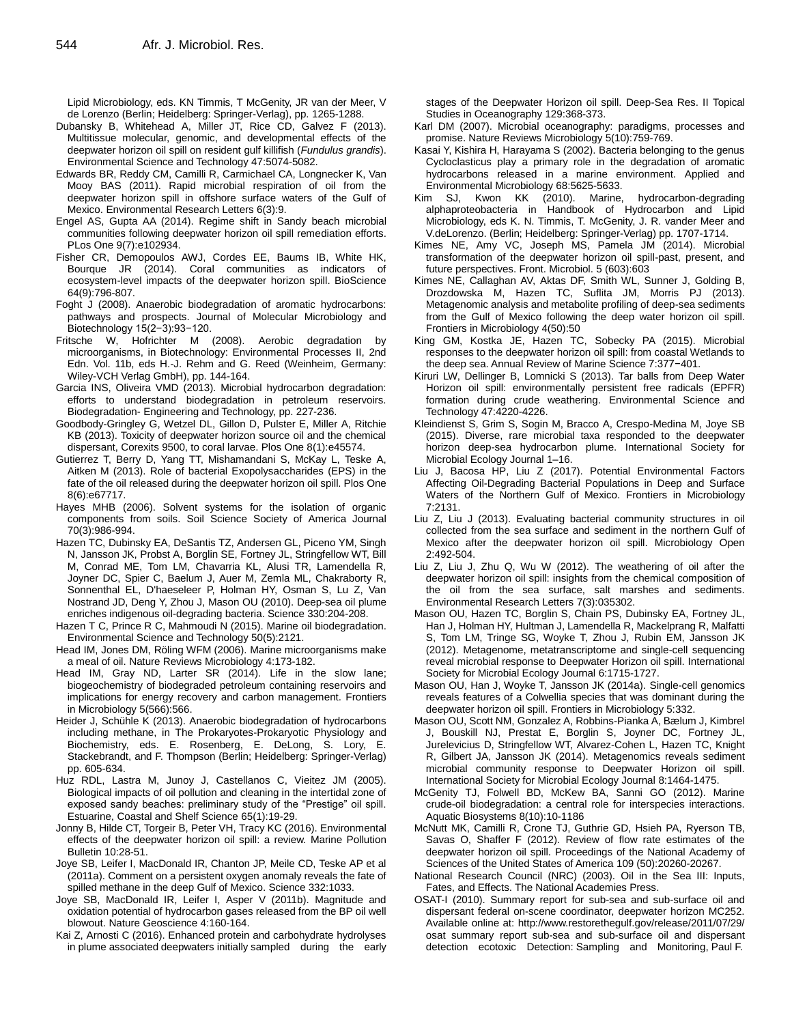Lipid Microbiology, eds. KN Timmis, T McGenity, JR van der Meer, V de Lorenzo (Berlin; Heidelberg: Springer-Verlag), pp. 1265-1288.

- Dubansky B, Whitehead A, Miller JT, Rice CD, Galvez F (2013). Multitissue molecular, genomic, and developmental effects of the deepwater horizon oil spill on resident gulf killifish (*Fundulus grandis*). Environmental Science and Technology 47:5074-5082.
- Edwards BR, Reddy CM, Camilli R, Carmichael CA, Longnecker K, Van Mooy BAS (2011). Rapid microbial respiration of oil from the deepwater horizon spill in offshore surface waters of the Gulf of Mexico. Environmental Research Letters 6(3):9.
- Engel AS, Gupta AA (2014). Regime shift in Sandy beach microbial communities following deepwater horizon oil spill remediation efforts. PLos One 9(7):e102934.
- Fisher CR, Demopoulos AWJ, Cordes EE, Baums IB, White HK, Bourque JR (2014). Coral communities as indicators of ecosystem-level impacts of the deepwater horizon spill. BioScience 64(9):796-807.
- Foght J (2008). Anaerobic biodegradation of aromatic hydrocarbons: pathways and prospects. Journal of Molecular Microbiology and Biotechnology 15(2−3):93−120.
- Fritsche W, Hofrichter M (2008). Aerobic degradation by microorganisms, in Biotechnology: Environmental Processes II, 2nd Edn. Vol. 11b, eds H.-J. Rehm and G. Reed (Weinheim, Germany: Wiley-VCH Verlag GmbH), pp. 144-164.
- Garcia INS, Oliveira VMD (2013). Microbial hydrocarbon degradation: efforts to understand biodegradation in petroleum reservoirs. Biodegradation- Engineering and Technology, pp. 227-236.
- Goodbody-Gringley G, Wetzel DL, Gillon D, Pulster E, Miller A, Ritchie KB (2013). Toxicity of deepwater horizon source oil and the chemical dispersant, Corexits 9500, to coral larvae. Plos One 8(1):e45574.
- Gutierrez T, Berry D, Yang TT, Mishamandani S, McKay L, Teske A, Aitken M (2013). Role of bacterial Exopolysaccharides (EPS) in the fate of the oil released during the deepwater horizon oil spill. Plos One 8(6):e67717.
- Hayes MHB (2006). Solvent systems for the isolation of organic components from soils. Soil Science Society of America Journal 70(3):986-994.
- Hazen TC, Dubinsky EA, DeSantis TZ, Andersen GL, Piceno YM, Singh N, Jansson JK, Probst A, Borglin SE, Fortney JL, Stringfellow WT, Bill M, Conrad ME, Tom LM, Chavarria KL, Alusi TR, Lamendella R, Joyner DC, Spier C, Baelum J, Auer M, Zemla ML, Chakraborty R, Sonnenthal EL, D'haeseleer P, Holman HY, Osman S, Lu Z, Van Nostrand JD, Deng Y, Zhou J, Mason OU (2010). Deep-sea oil plume enriches indigenous oil-degrading bacteria. Science 330:204-208.
- Hazen T C, Prince R C, Mahmoudi N (2015). Marine oil biodegradation. Environmental Science and Technology 50(5):2121.
- Head IM, Jones DM, Röling WFM (2006). Marine microorganisms make a meal of oil. Nature Reviews Microbiology 4:173-182.
- Head IM, Gray ND, Larter SR (2014). Life in the slow lane; biogeochemistry of biodegraded petroleum containing reservoirs and implications for energy recovery and carbon management. Frontiers in Microbiology 5(566):566.
- Heider J, Schühle K (2013). Anaerobic biodegradation of hydrocarbons including methane, in The Prokaryotes-Prokaryotic Physiology and Biochemistry, eds. E. Rosenberg, E. DeLong, S. Lory, E. Stackebrandt, and F. Thompson (Berlin; Heidelberg: Springer-Verlag) pp. 605-634.
- Huz RDL, Lastra M, Junoy J, Castellanos C, Vieitez JM (2005). Biological impacts of oil pollution and cleaning in the intertidal zone of exposed sandy beaches: preliminary study of the "Prestige" oil spill. Estuarine, Coastal and Shelf Science 65(1):19-29.
- Jonny B, Hilde CT, Torgeir B, Peter VH, Tracy KC (2016). Environmental effects of the deepwater horizon oil spill: a review. Marine Pollution Bulletin 10:28-51.
- Joye SB, Leifer I, MacDonald IR, Chanton JP, Meile CD, Teske AP et al (2011a). Comment on a persistent oxygen anomaly reveals the fate of spilled methane in the deep Gulf of Mexico. Science 332:1033.
- Joye SB, MacDonald IR, Leifer I, Asper V (2011b). Magnitude and oxidation potential of hydrocarbon gases released from the BP oil well blowout. Nature Geoscience 4:160-164.
- Kai Z, Arnosti C (2016). Enhanced protein and carbohydrate hydrolyses in plume associated deepwaters initially sampled during the early

stages of the Deepwater Horizon oil spill. Deep-Sea Res. II Topical Studies in Oceanography 129:368-373.

- Karl DM (2007). Microbial oceanography: paradigms, processes and promise. Nature Reviews Microbiology 5(10):759-769.
- Kasai Y, Kishira H, Harayama S (2002). Bacteria belonging to the genus Cycloclasticus play a primary role in the degradation of aromatic hydrocarbons released in a marine environment. Applied and Environmental Microbiology 68:5625-5633.
- Kim SJ, Kwon KK (2010). Marine, hydrocarbon-degrading alphaproteobacteria in Handbook of Hydrocarbon and Lipid Microbiology, eds K. N. Timmis, T. McGenity, J. R. vander Meer and V.deLorenzo. (Berlin; Heidelberg: Springer-Verlag) pp. 1707-1714.
- Kimes NE, Amy VC, Joseph MS, Pamela JM (2014). Microbial transformation of the deepwater horizon oil spill-past, present, and future perspectives. Front. Microbiol. 5 (603):603
- Kimes NE, Callaghan AV, Aktas DF, Smith WL, Sunner J, Golding B, Drozdowska M, Hazen TC, Suflita JM, Morris PJ (2013). Metagenomic analysis and metabolite profiling of deep-sea sediments from the Gulf of Mexico following the deep water horizon oil spill. Frontiers in Microbiology 4(50):50
- King GM, Kostka JE, Hazen TC, Sobecky PA (2015). Microbial responses to the deepwater horizon oil spill: from coastal Wetlands to the deep sea. Annual Review of Marine Science 7:377−401.
- Kiruri LW, Dellinger B, Lomnicki S (2013). Tar balls from Deep Water Horizon oil spill: environmentally persistent free radicals (EPFR) formation during crude weathering. Environmental Science and Technology 47:4220-4226.
- Kleindienst S, Grim S, Sogin M, Bracco A, Crespo-Medina M, Joye SB (2015). Diverse, rare microbial taxa responded to the deepwater horizon deep-sea hydrocarbon plume. International Society for Microbial Ecology Journal 1–16.
- Liu J, Bacosa HP, Liu Z (2017). Potential Environmental Factors Affecting Oil-Degrading Bacterial Populations in Deep and Surface Waters of the Northern Gulf of Mexico. Frontiers in Microbiology 7:2131.
- Liu Z, Liu J (2013). Evaluating bacterial community structures in oil collected from the sea surface and sediment in the northern Gulf of Mexico after the deepwater horizon oil spill. Microbiology Open 2:492-504.
- Liu Z, Liu J, Zhu Q, Wu W (2012). The weathering of oil after the deepwater horizon oil spill: insights from the chemical composition of the oil from the sea surface, salt marshes and sediments. Environmental Research Letters 7(3):035302.
- Mason OU, Hazen TC, Borglin S, Chain PS, Dubinsky EA, Fortney JL, Han J, Holman HY, Hultman J, Lamendella R, Mackelprang R, Malfatti S, Tom LM, Tringe SG, Woyke T, Zhou J, Rubin EM, Jansson JK (2012). Metagenome, metatranscriptome and single-cell sequencing reveal microbial response to Deepwater Horizon oil spill. International Society for Microbial Ecology Journal 6:1715-1727.
- Mason OU, Han J, Woyke T, Jansson JK (2014a). Single-cell genomics reveals features of a Colwellia species that was dominant during the deepwater horizon oil spill. Frontiers in Microbiology 5:332.
- Mason OU, Scott NM, Gonzalez A, Robbins-Pianka A, Bælum J, Kimbrel J, Bouskill NJ, Prestat E, Borglin S, Joyner DC, Fortney JL, Jurelevicius D, Stringfellow WT, Alvarez-Cohen L, Hazen TC, Knight R, Gilbert JA, Jansson JK (2014). Metagenomics reveals sediment microbial community response to Deepwater Horizon oil spill. International Society for Microbial Ecology Journal 8:1464-1475.
- McGenity TJ, Folwell BD, McKew BA, Sanni GO (2012). Marine crude-oil biodegradation: a central role for interspecies interactions. Aquatic Biosystems 8(10):10-1186
- McNutt MK, Camilli R, Crone TJ, Guthrie GD, Hsieh PA, Ryerson TB, Savas O, Shaffer F (2012). Review of flow rate estimates of the deepwater horizon oil spill. Proceedings of the National Academy of Sciences of the United States of America 109 (50):20260-20267.
- National Research Council (NRC) (2003). Oil in the Sea III: Inputs, Fates, and Effects. The National Academies Press.
- OSAT-I (2010). Summary report for sub-sea and sub-surface oil and dispersant federal on-scene coordinator, deepwater horizon MC252. Available online at: http://www.restorethegulf.gov/release/2011/07/29/ osat summary report sub-sea and sub-surface oil and dispersant detection ecotoxic Detection: Sampling and Monitoring, Paul F.